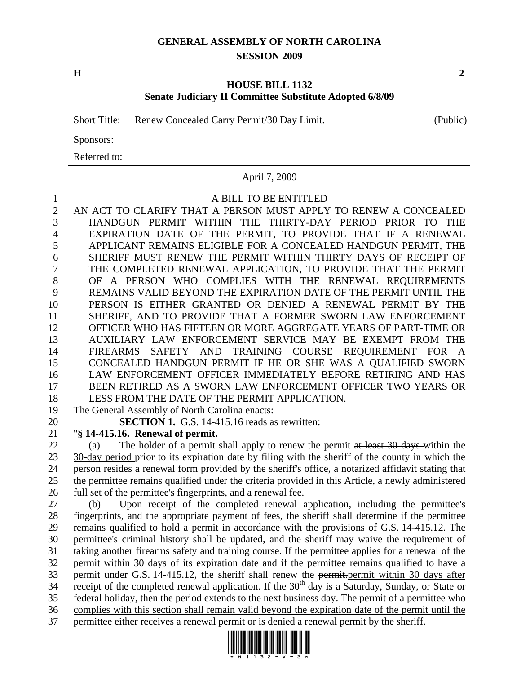## **GENERAL ASSEMBLY OF NORTH CAROLINA SESSION 2009**

**H** 2

## **HOUSE BILL 1132 Senate Judiciary II Committee Substitute Adopted 6/8/09**

Short Title: Renew Concealed Carry Permit/30 Day Limit. (Public)

Sponsors:

Referred to:

## April 7, 2009

## 1 A BILL TO BE ENTITLED

2 AN ACT TO CLARIFY THAT A PERSON MUST APPLY TO RENEW A CONCEALED 3 HANDGUN PERMIT WITHIN THE THIRTY-DAY PERIOD PRIOR TO THE 4 EXPIRATION DATE OF THE PERMIT, TO PROVIDE THAT IF A RENEWAL 5 APPLICANT REMAINS ELIGIBLE FOR A CONCEALED HANDGUN PERMIT, THE 6 SHERIFF MUST RENEW THE PERMIT WITHIN THIRTY DAYS OF RECEIPT OF 7 THE COMPLETED RENEWAL APPLICATION, TO PROVIDE THAT THE PERMIT 8 OF A PERSON WHO COMPLIES WITH THE RENEWAL REQUIREMENTS 9 REMAINS VALID BEYOND THE EXPIRATION DATE OF THE PERMIT UNTIL THE 10 PERSON IS EITHER GRANTED OR DENIED A RENEWAL PERMIT BY THE 11 SHERIFF, AND TO PROVIDE THAT A FORMER SWORN LAW ENFORCEMENT 12 OFFICER WHO HAS FIFTEEN OR MORE AGGREGATE YEARS OF PART-TIME OR 13 AUXILIARY LAW ENFORCEMENT SERVICE MAY BE EXEMPT FROM THE 14 FIREARMS SAFETY AND TRAINING COURSE REQUIREMENT FOR A 15 CONCEALED HANDGUN PERMIT IF HE OR SHE WAS A QUALIFIED SWORN 16 LAW ENFORCEMENT OFFICER IMMEDIATELY BEFORE RETIRING AND HAS 17 BEEN RETIRED AS A SWORN LAW ENFORCEMENT OFFICER TWO YEARS OR 18 LESS FROM THE DATE OF THE PERMIT APPLICATION. 19 The General Assembly of North Carolina enacts:

20 **SECTION 1.** G.S. 14-415.16 reads as rewritten:

21 "**§ 14-415.16. Renewal of permit.** 

22 (a) The holder of a permit shall apply to renew the permit at least 30 days within the 23 30-day period prior to its expiration date by filing with the sheriff of the county in which the 24 person resides a renewal form provided by the sheriff's office, a notarized affidavit stating that 25 the permittee remains qualified under the criteria provided in this Article, a newly administered 26 full set of the permittee's fingerprints, and a renewal fee.

27 (b) Upon receipt of the completed renewal application, including the permittee's 28 fingerprints, and the appropriate payment of fees, the sheriff shall determine if the permittee 29 remains qualified to hold a permit in accordance with the provisions of G.S. 14-415.12. The 30 permittee's criminal history shall be updated, and the sheriff may waive the requirement of 31 taking another firearms safety and training course. If the permittee applies for a renewal of the 32 permit within 30 days of its expiration date and if the permittee remains qualified to have a 33 permit under G.S. 14-415.12, the sheriff shall renew the permit-permit within 30 days after 34 receipt of the completed renewal application. If the  $30<sup>th</sup>$  day is a Saturday, Sunday, or State or 35 federal holiday, then the period extends to the next business day. The permit of a permittee who 36 complies with this section shall remain valid beyond the expiration date of the permit until the 37 permittee either receives a renewal permit or is denied a renewal permit by the sheriff.